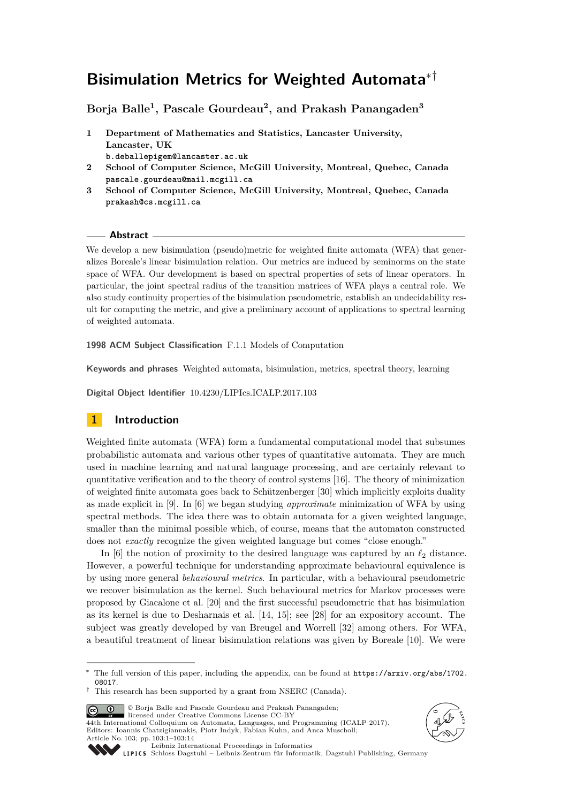# **Bisimulation Metrics for Weighted Automata**∗†

**Borja Balle<sup>1</sup> , Pascale Gourdeau<sup>2</sup> , and Prakash Panangaden<sup>3</sup>**

- **1 Department of Mathematics and Statistics, Lancaster University, Lancaster, UK b.deballepigem@lancaster.ac.uk**
- **2 School of Computer Science, McGill University, Montreal, Quebec, Canada pascale.gourdeau@mail.mcgill.ca**
- **3 School of Computer Science, McGill University, Montreal, Quebec, Canada prakash@cs.mcgill.ca**

## **Abstract**

We develop a new bisimulation (pseudo)metric for weighted finite automata (WFA) that generalizes Boreale's linear bisimulation relation. Our metrics are induced by seminorms on the state space of WFA. Our development is based on spectral properties of sets of linear operators. In particular, the joint spectral radius of the transition matrices of WFA plays a central role. We also study continuity properties of the bisimulation pseudometric, establish an undecidability result for computing the metric, and give a preliminary account of applications to spectral learning of weighted automata.

**1998 ACM Subject Classification** F.1.1 Models of Computation

**Keywords and phrases** Weighted automata, bisimulation, metrics, spectral theory, learning

**Digital Object Identifier** [10.4230/LIPIcs.ICALP.2017.103](http://dx.doi.org/10.4230/LIPIcs.ICALP.2017.103)

## **1 Introduction**

Weighted finite automata (WFA) form a fundamental computational model that subsumes probabilistic automata and various other types of quantitative automata. They are much used in machine learning and natural language processing, and are certainly relevant to quantitative verification and to the theory of control systems [\[16\]](#page-12-0). The theory of minimization of weighted finite automata goes back to Schützenberger [\[30\]](#page-13-0) which implicitly exploits duality as made explicit in [\[9\]](#page-12-1). In [\[6\]](#page-12-2) we began studying *approximate* minimization of WFA by using spectral methods. The idea there was to obtain automata for a given weighted language, smaller than the minimal possible which, of course, means that the automaton constructed does not *exactly* recognize the given weighted language but comes "close enough."

In  $[6]$  the notion of proximity to the desired language was captured by an  $\ell_2$  distance. However, a powerful technique for understanding approximate behavioural equivalence is by using more general *behavioural metrics*. In particular, with a behavioural pseudometric we recover bisimulation as the kernel. Such behavioural metrics for Markov processes were proposed by Giacalone et al. [\[20\]](#page-13-1) and the first successful pseudometric that has bisimulation as its kernel is due to Desharnais et al. [\[14,](#page-12-3) [15\]](#page-12-4); see [\[28\]](#page-13-2) for an expository account. The subject was greatly developed by van Breugel and Worrell [\[32\]](#page-13-3) among others. For WFA, a beautiful treatment of linear bisimulation relations was given by Boreale [\[10\]](#page-12-5). We were

© Borja Balle and Pascale Gourdeau and Prakash Panangaden;  $\boxed{6}$   $\boxed{0}$ 

licensed under Creative Commons License CC-BY 44th International Colloquium on Automata, Languages, and Programming (ICALP 2017). Editors: Ioannis Chatzigiannakis, Piotr Indyk, Fabian Kuhn, and Anca Muscholl; Article No. 103; pp. 103:1–103[:14](#page-13-4)





[Leibniz International Proceedings in Informatics](http://www.dagstuhl.de/lipics/)

[Schloss Dagstuhl – Leibniz-Zentrum für Informatik, Dagstuhl Publishing, Germany](http://www.dagstuhl.de)

The full version of this paper, including the appendix, can be found at [https://arxiv.org/abs/1702.](https://arxiv.org/abs/1702.08017) [08017](https://arxiv.org/abs/1702.08017).

<sup>†</sup> This research has been supported by a grant from NSERC (Canada).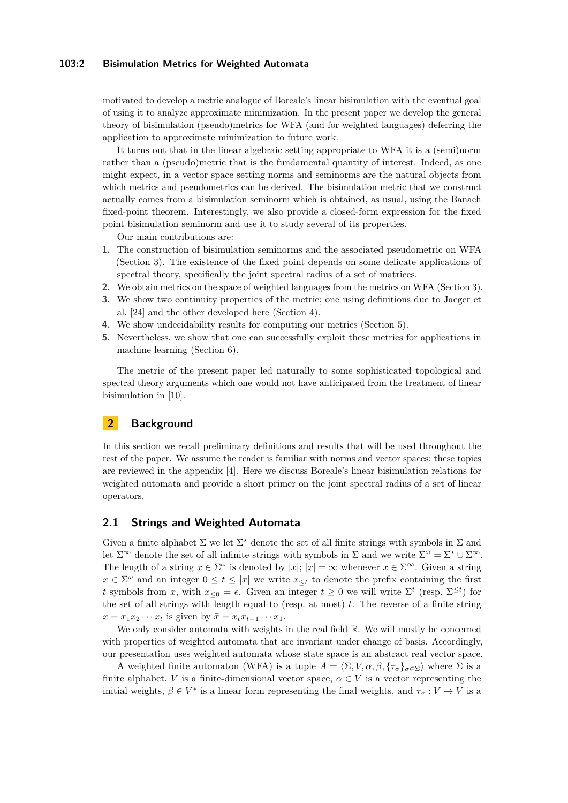## **103:2 Bisimulation Metrics for Weighted Automata**

motivated to develop a metric analogue of Boreale's linear bisimulation with the eventual goal of using it to analyze approximate minimization. In the present paper we develop the general theory of bisimulation (pseudo)metrics for WFA (and for weighted languages) deferring the application to approximate minimization to future work.

It turns out that in the linear algebraic setting appropriate to WFA it is a (semi)norm rather than a (pseudo)metric that is the fundamental quantity of interest. Indeed, as one might expect, in a vector space setting norms and seminorms are the natural objects from which metrics and pseudometrics can be derived. The bisimulation metric that we construct actually comes from a bisimulation seminorm which is obtained, as usual, using the Banach fixed-point theorem. Interestingly, we also provide a closed-form expression for the fixed point bisimulation seminorm and use it to study several of its properties.

Our main contributions are:

- **1.** The construction of bisimulation seminorms and the associated pseudometric on WFA (Section [3\)](#page-4-0). The existence of the fixed point depends on some delicate applications of spectral theory, specifically the joint spectral radius of a set of matrices.
- **2.** We obtain metrics on the space of weighted languages from the metrics on WFA (Section [3\)](#page-4-0).
- **3.** We show two continuity properties of the metric; one using definitions due to Jaeger et al. [\[24\]](#page-13-5) and the other developed here (Section [4\)](#page-7-0).
- **4.** We show undecidability results for computing our metrics (Section [5\)](#page-8-0).
- **5.** Nevertheless, we show that one can successfully exploit these metrics for applications in machine learning (Section [6\)](#page-10-0).

The metric of the present paper led naturally to some sophisticated topological and spectral theory arguments which one would not have anticipated from the treatment of linear bisimulation in [\[10\]](#page-12-5).

## **2 Background**

In this section we recall preliminary definitions and results that will be used throughout the rest of the paper. We assume the reader is familiar with norms and vector spaces; these topics are reviewed in the appendix [\[4\]](#page-12-6). Here we discuss Boreale's linear bisimulation relations for weighted automata and provide a short primer on the joint spectral radius of a set of linear operators.

## **2.1 Strings and Weighted Automata**

Given a finite alphabet  $\Sigma$  we let  $\Sigma^*$  denote the set of all finite strings with symbols in  $\Sigma$  and let  $\Sigma^{\infty}$  denote the set of all infinite strings with symbols in  $\Sigma$  and we write  $\Sigma^{\omega} = \Sigma^{\star} \cup \Sigma^{\infty}$ . The length of a string  $x \in \Sigma^{\omega}$  is denoted by  $|x|; |x| = \infty$  whenever  $x \in \Sigma^{\infty}$ . Given a string  $x \in \Sigma^{\omega}$  and an integer  $0 \leq t \leq |x|$  we write  $x_{\leq t}$  to denote the prefix containing the first *t* symbols from *x*, with  $x_{\leq 0} = \epsilon$ . Given an integer  $t \geq 0$  we will write  $\Sigma^t$  (resp.  $\Sigma^{\leq t}$ ) for the set of all strings with length equal to (resp. at most) *t*. The reverse of a finite string  $x = x_1 x_2 \cdots x_t$  is given by  $\bar{x} = x_t x_{t-1} \cdots x_1$ .

We only consider automata with weights in the real field  $\mathbb{R}$ . We will mostly be concerned with properties of weighted automata that are invariant under change of basis. Accordingly, our presentation uses weighted automata whose state space is an abstract real vector space.

A weighted finite automaton (WFA) is a tuple  $A = \langle \Sigma, V, \alpha, \beta, \{ \tau_{\sigma} \}_{\sigma \in \Sigma} \rangle$  where  $\Sigma$  is a finite alphabet, *V* is a finite-dimensional vector space,  $\alpha \in V$  is a vector representing the initial weights,  $\beta \in V^*$  is a linear form representing the final weights, and  $\tau_{\sigma}: V \to V$  is a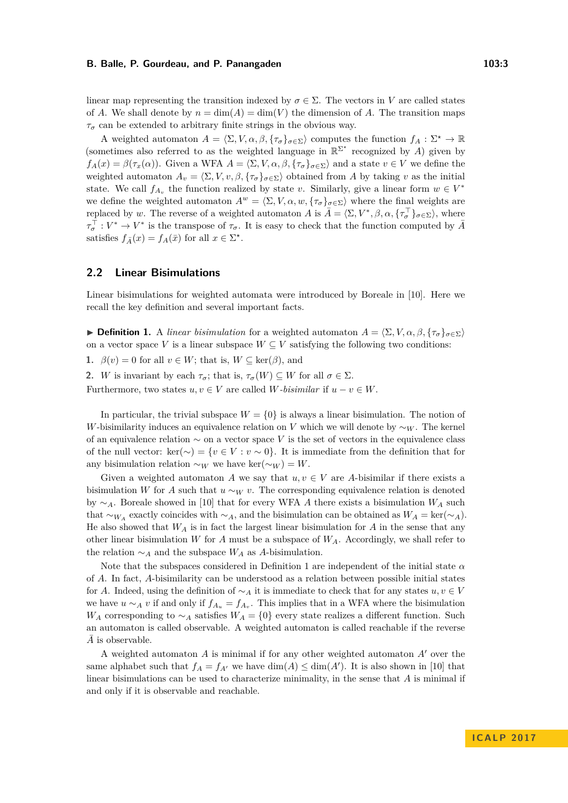linear map representing the transition indexed by  $\sigma \in \Sigma$ . The vectors in *V* are called states of *A*. We shall denote by  $n = \dim(A) = \dim(V)$  the dimension of *A*. The transition maps  $\tau_{\sigma}$  can be extended to arbitrary finite strings in the obvious way.

A weighted automaton  $A = \langle \Sigma, V, \alpha, \beta, \{\tau_\sigma\}_{\sigma \in \Sigma} \rangle$  computes the function  $f_A : \Sigma^* \to \mathbb{R}$ (sometimes also referred to as the weighted language in  $\mathbb{R}^{\Sigma^*}$  recognized by *A*) given by  $f_A(x) = \beta(\tau_x(\alpha))$ . Given a WFA  $A = \langle \Sigma, V, \alpha, \beta, \{\tau_\sigma\}_{\sigma \in \Sigma} \rangle$  and a state  $v \in V$  we define the weighted automaton  $A_v = \langle \Sigma, V, v, \beta, \{\tau_\sigma\}_{\sigma \in \Sigma} \rangle$  obtained from *A* by taking *v* as the initial state. We call  $f_{A_v}$  the function realized by state *v*. Similarly, give a linear form  $w \in V^*$ we define the weighted automaton  $A^w = \langle \Sigma, V, \alpha, w, \{\tau_\sigma\}_{\sigma \in \Sigma} \rangle$  where the final weights are replaced by *w*. The reverse of a weighted automaton *A* is  $\bar{A} = \langle \Sigma, V^*, \beta, \alpha, \{\tau_{\sigma}^{\top}\}_{\sigma \in \Sigma} \rangle$ , where  $\tau_{\sigma}^{\top}: V^* \to V^*$  is the transpose of  $\tau_{\sigma}$ . It is easy to check that the function computed by  $\bar{A}$ satisfies  $f_{\bar{A}}(x) = f_A(\bar{x})$  for all  $x \in \Sigma^*$ .

## <span id="page-2-1"></span>**2.2 Linear Bisimulations**

Linear bisimulations for weighted automata were introduced by Boreale in [\[10\]](#page-12-5). Here we recall the key definition and several important facts.

<span id="page-2-0"></span>**Definition 1.** A *linear bisimulation* for a weighted automaton  $A = \langle \Sigma, V, \alpha, \beta, \{\tau_{\sigma}\}_{\sigma \in \Sigma} \rangle$ on a vector space *V* is a linear subspace  $W \subseteq V$  satisfying the following two conditions:

**1.**  $\beta(v) = 0$  for all  $v \in W$ ; that is,  $W \subseteq \text{ker}(\beta)$ , and

**2.** *W* is invariant by each  $\tau_{\sigma}$ ; that is,  $\tau_{\sigma}(W) \subseteq W$  for all  $\sigma \in \Sigma$ .

Furthermore, two states  $u, v \in V$  are called *W-bisimilar* if  $u - v \in W$ .

In particular, the trivial subspace  $W = \{0\}$  is always a linear bisimulation. The notion of *W*-bisimilarity induces an equivalence relation on *V* which we will denote by  $\sim_W$ . The kernel of an equivalence relation ∼ on a vector space *V* is the set of vectors in the equivalence class of the null vector: ker(∼) =  $\{v \in V : v \sim 0\}$ . It is immediate from the definition that for any bisimulation relation  $\sim_W$  we have ker( $\sim_W$ ) = *W*.

Given a weighted automaton *A* we say that  $u, v \in V$  are *A*-bisimilar if there exists a bisimulation *W* for *A* such that  $u \sim_W v$ . The corresponding equivalence relation is denoted by ∼*A*. Boreale showed in [\[10\]](#page-12-5) that for every WFA *A* there exists a bisimulation *W<sup>A</sup>* such that ∼*W<sub>A</sub>* exactly coincides with ∼*A*, and the bisimulation can be obtained as  $W_A = \text{ker}(\sim_A)$ . He also showed that  $W_A$  is in fact the largest linear bisimulation for  $A$  in the sense that any other linear bisimulation *W* for *A* must be a subspace of  $W_A$ . Accordingly, we shall refer to the relation  $\sim_A$  and the subspace  $W_A$  as *A*-bisimulation.

Note that the subspaces considered in Definition [1](#page-2-0) are independent of the initial state *α* of *A*. In fact, *A*-bisimilarity can be understood as a relation between possible initial states for *A*. Indeed, using the definition of  $\sim_A$  it is immediate to check that for any states  $u, v \in V$ we have  $u \sim_A v$  if and only if  $f_{A_u} = f_{A_v}$ . This implies that in a WFA where the bisimulation *W<sub>A</sub>* corresponding to  $\sim_A$  satisfies  $W_A = \{0\}$  every state realizes a different function. Such an automaton is called observable. A weighted automaton is called reachable if the reverse A is observable.

A weighted automaton  $\vec{A}$  is minimal if for any other weighted automaton  $\vec{A}$ <sup>'</sup> over the same alphabet such that  $f_A = f_{A'}$  we have  $\dim(A) \leq \dim(A')$ . It is also shown in [\[10\]](#page-12-5) that linear bisimulations can be used to characterize minimality, in the sense that *A* is minimal if and only if it is observable and reachable.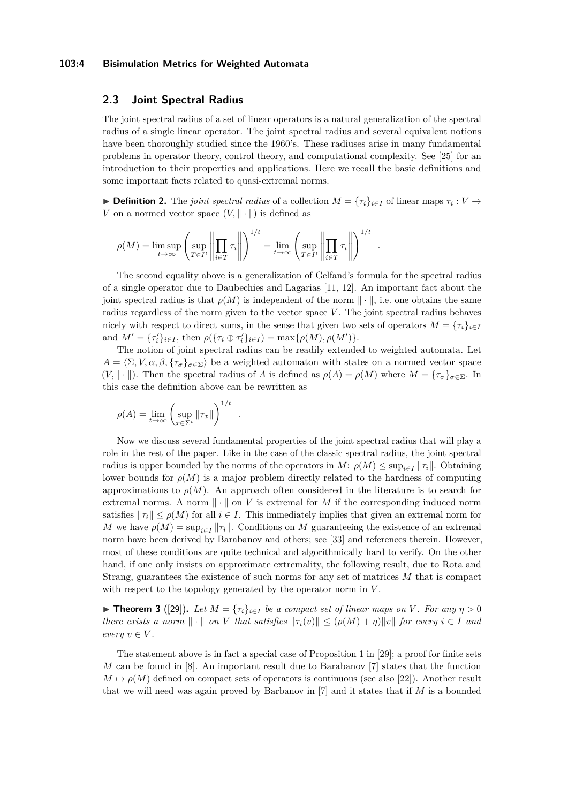#### **103:4 Bisimulation Metrics for Weighted Automata**

## <span id="page-3-1"></span>**2.3 Joint Spectral Radius**

The joint spectral radius of a set of linear operators is a natural generalization of the spectral radius of a single linear operator. The joint spectral radius and several equivalent notions have been thoroughly studied since the 1960's. These radiuses arise in many fundamental problems in operator theory, control theory, and computational complexity. See [\[25\]](#page-13-6) for an introduction to their properties and applications. Here we recall the basic definitions and some important facts related to quasi-extremal norms.

**► Definition 2.** The *joint spectral radius* of a collection  $M = {\tau_i}_{i \in I}$  of linear maps  $\tau_i : V \to$ *V* on a normed vector space  $(V, \|\cdot\|)$  is defined as

$$
\rho(M) = \limsup_{t \to \infty} \left( \sup_{T \in I^t} \left\| \prod_{i \in T} \tau_i \right\| \right)^{1/t} = \lim_{t \to \infty} \left( \sup_{T \in I^t} \left\| \prod_{i \in T} \tau_i \right\| \right)^{1/t} .
$$

*.*

The second equality above is a generalization of Gelfand's formula for the spectral radius of a single operator due to Daubechies and Lagarias [\[11,](#page-12-7) [12\]](#page-12-8). An important fact about the joint spectral radius is that  $\rho(M)$  is independent of the norm  $\|\cdot\|$ , i.e. one obtains the same radius regardless of the norm given to the vector space *V*. The joint spectral radius behaves nicely with respect to direct sums, in the sense that given two sets of operators  $M = \{ \tau_i \}_{i \in I}$ and  $M' = \{\tau'_i\}_{i \in I}$ , then  $\rho(\{\tau_i \oplus \tau'_i\}_{i \in I}) = \max\{\rho(M), \rho(M')\}.$ 

The notion of joint spectral radius can be readily extended to weighted automata. Let  $A = \langle \Sigma, V, \alpha, \beta, \{\tau_{\sigma}\}_{\sigma \in \Sigma} \rangle$  be a weighted automaton with states on a normed vector space  $(V, \|\cdot\|)$ . Then the spectral radius of *A* is defined as  $\rho(A) = \rho(M)$  where  $M = \{\tau_{\sigma}\}_{\sigma \in \Sigma}$ . In this case the definition above can be rewritten as

$$
\rho(A) = \lim_{t \to \infty} \left( \sup_{x \in \Sigma^t} ||\tau_x|| \right)^{1/t}
$$

Now we discuss several fundamental properties of the joint spectral radius that will play a role in the rest of the paper. Like in the case of the classic spectral radius, the joint spectral radius is upper bounded by the norms of the operators in  $M: \rho(M) \leq \sup_{i \in I} ||\tau_i||$ . Obtaining lower bounds for  $\rho(M)$  is a major problem directly related to the hardness of computing approximations to  $\rho(M)$ . An approach often considered in the literature is to search for extremal norms. A norm  $\|\cdot\|$  on *V* is extremal for *M* if the corresponding induced norm satisfies  $\|\tau_i\| \leq \rho(M)$  for all  $i \in I$ . This immediately implies that given an extremal norm for *M* we have  $\rho(M) = \sup_{i \in I} ||\tau_i||$ . Conditions on *M* guaranteeing the existence of an extremal norm have been derived by Barabanov and others; see [\[33\]](#page-13-7) and references therein. However, most of these conditions are quite technical and algorithmically hard to verify. On the other hand, if one only insists on approximate extremality, the following result, due to Rota and Strang, guarantees the existence of such norms for any set of matrices *M* that is compact with respect to the topology generated by the operator norm in *V* .

<span id="page-3-0"></span> $▶$  **Theorem 3** ([\[29\]](#page-13-8)). Let  $M = {\tau_i}_{i \in I}$  be a compact set of linear maps on *V*. For any  $η > 0$ *there exists a norm*  $\|\cdot\|$  *on V that satisfies*  $\|\tau_i(v)\| \leq (\rho(M) + \eta) \|v\|$  *for every*  $i \in I$  *and*  $every \ v \in V.$ 

The statement above is in fact a special case of Proposition 1 in [\[29\]](#page-13-8); a proof for finite sets *M* can be found in [\[8\]](#page-12-9). An important result due to Barabanov [\[7\]](#page-12-10) states that the function  $M \mapsto \rho(M)$  defined on compact sets of operators is continuous (see also [\[22\]](#page-13-9)). Another result that we will need was again proved by Barbanov in [\[7\]](#page-12-10) and it states that if *M* is a bounded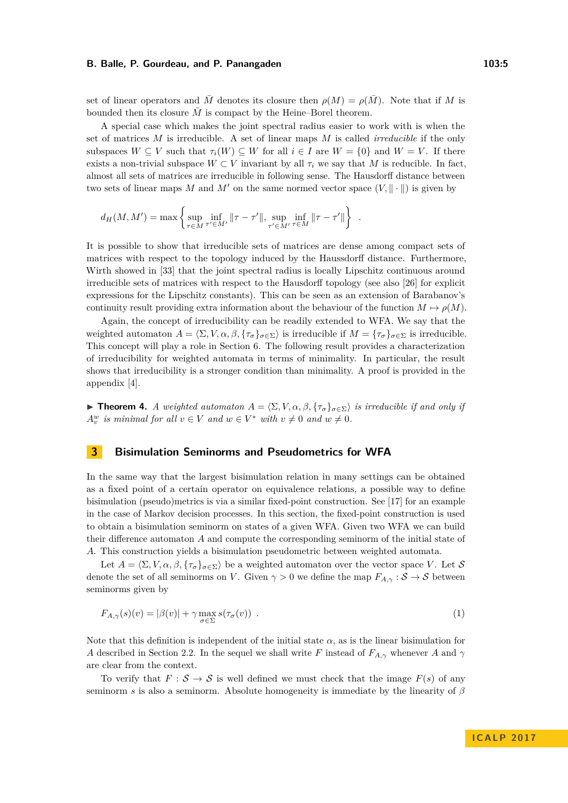set of linear operators and *M* denotes its closure then  $\rho(M) = \rho(M)$ . Note that if *M* is bounded then its closure  $\overline{M}$  is compact by the Heine–Borel theorem.

A special case which makes the joint spectral radius easier to work with is when the set of matrices *M* is irreducible. A set of linear maps *M* is called *irreducible* if the only subspaces  $W \subseteq V$  such that  $\tau_i(W) \subseteq W$  for all  $i \in I$  are  $W = \{0\}$  and  $W = V$ . If there exists a non-trivial subspace  $W \subset V$  invariant by all  $\tau_i$  we say that M is reducible. In fact, almost all sets of matrices are irreducible in following sense. The Hausdorff distance between two sets of linear maps M and M' on the same normed vector space  $(V, \|\cdot\|)$  is given by

$$
d_H(M, M') = \max \left\{ \sup_{\tau \in M} \inf_{\tau' \in M'} ||\tau - \tau'||, \sup_{\tau' \in M'} \inf_{\tau \in M} ||\tau - \tau'|| \right\} .
$$

It is possible to show that irreducible sets of matrices are dense among compact sets of matrices with respect to the topology induced by the Haussdorff distance. Furthermore, Wirth showed in [\[33\]](#page-13-7) that the joint spectral radius is locally Lipschitz continuous around irreducible sets of matrices with respect to the Hausdorff topology (see also [\[26\]](#page-13-10) for explicit expressions for the Lipschitz constants). This can be seen as an extension of Barabanov's continuity result providing extra information about the behaviour of the function  $M \mapsto \rho(M)$ .

Again, the concept of irreducibility can be readily extended to WFA. We say that the weighted automaton  $A = \langle \Sigma, V, \alpha, \beta, \{\tau_{\sigma}\}_{\sigma \in \Sigma} \rangle$  is irreducible if  $M = \{\tau_{\sigma}\}_{\sigma \in \Sigma}$  is irreducible. This concept will play a role in Section [6.](#page-10-0) The following result provides a characterization of irreducibility for weighted automata in terms of minimality. In particular, the result shows that irreducibility is a stronger condition than minimality. A proof is provided in the appendix [\[4\]](#page-12-6).

 $\triangleright$  **Theorem 4.** *A weighted automaton A* =  $\langle \Sigma, V, \alpha, \beta, \{\tau_{\sigma}\}_{\sigma \in \Sigma} \rangle$  *is irreducible if and only if*  $A_v^w$  *is minimal for all*  $v \in V$  *and*  $w \in V^*$  *with*  $v \neq 0$  *and*  $w \neq 0$ *.* 

## <span id="page-4-0"></span>**3 Bisimulation Seminorms and Pseudometrics for WFA**

In the same way that the largest bisimulation relation in many settings can be obtained as a fixed point of a certain operator on equivalence relations, a possible way to define bisimulation (pseudo)metrics is via a similar fixed-point construction. See [\[17\]](#page-13-11) for an example in the case of Markov decision processes. In this section, the fixed-point construction is used to obtain a bisimulation seminorm on states of a given WFA. Given two WFA we can build their difference automaton *A* and compute the corresponding seminorm of the initial state of *A*. This construction yields a bisimulation pseudometric between weighted automata.

Let  $A = \langle \Sigma, V, \alpha, \beta, \{\tau_{\sigma}\}_{\sigma \in \Sigma} \rangle$  be a weighted automaton over the vector space *V*. Let S denote the set of all seminorms on *V*. Given  $\gamma > 0$  we define the map  $F_{A,\gamma} : \mathcal{S} \to \mathcal{S}$  between seminorms given by

$$
F_{A,\gamma}(s)(v) = |\beta(v)| + \gamma \max_{\sigma \in \Sigma} s(\tau_{\sigma}(v)) \tag{1}
$$

Note that this definition is independent of the initial state  $\alpha$ , as is the linear bisimulation for *A* described in Section [2.2.](#page-2-1) In the sequel we shall write *F* instead of  $F_{A,\gamma}$  whenever *A* and  $\gamma$ are clear from the context.

To verify that  $F : \mathcal{S} \to \mathcal{S}$  is well defined we must check that the image  $F(s)$  of any seminorm *s* is also a seminorm. Absolute homogeneity is immediate by the linearity of *β*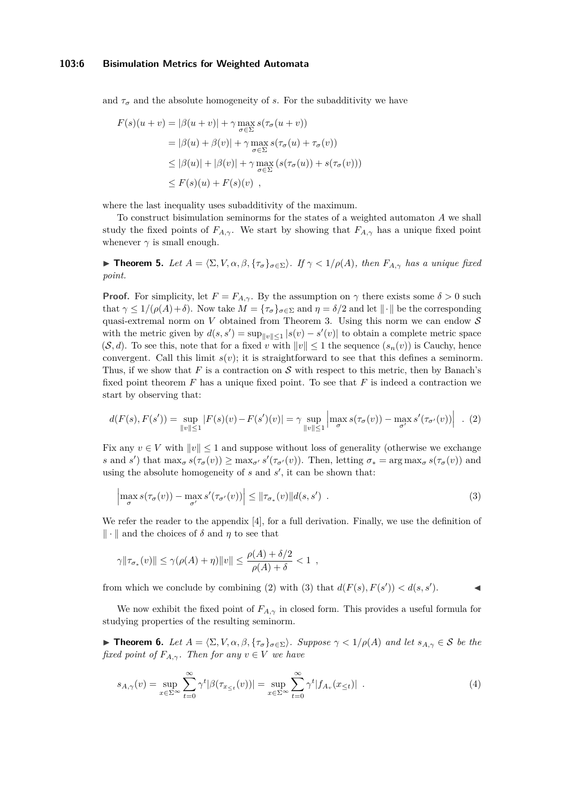#### **103:6 Bisimulation Metrics for Weighted Automata**

and  $\tau_{\sigma}$  and the absolute homogeneity of *s*. For the subadditivity we have

$$
F(s)(u + v) = |\beta(u + v)| + \gamma \max_{\sigma \in \Sigma} s(\tau_{\sigma}(u + v))
$$
  
=  $|\beta(u) + \beta(v)| + \gamma \max_{\sigma \in \Sigma} s(\tau_{\sigma}(u) + \tau_{\sigma}(v))$   
 $\leq |\beta(u)| + |\beta(v)| + \gamma \max_{\sigma \in \Sigma} (s(\tau_{\sigma}(u)) + s(\tau_{\sigma}(v)))$   
 $\leq F(s)(u) + F(s)(v),$ 

where the last inequality uses subadditivity of the maximum.

To construct bisimulation seminorms for the states of a weighted automaton *A* we shall study the fixed points of  $F_{A,\gamma}$ . We start by showing that  $F_{A,\gamma}$  has a unique fixed point whenever  $\gamma$  is small enough.

**► Theorem 5.** Let  $A = \langle \Sigma, V, \alpha, \beta, \{\tau_{\sigma}\}_{\sigma \in \Sigma} \rangle$ . If  $\gamma < 1/\rho(A)$ , then  $F_{A,\gamma}$  has a unique fixed *point.*

**Proof.** For simplicity, let  $F = F_{A,\gamma}$ . By the assumption on  $\gamma$  there exists some  $\delta > 0$  such that  $\gamma \leq 1/(\rho(A)+\delta)$ . Now take  $M = {\{\tau_{\sigma}\}}_{\sigma \in \Sigma}$  and  $\eta = \delta/2$  and let  $\|\cdot\|$  be the corresponding quasi-extremal norm on *V* obtained from Theorem [3.](#page-3-0) Using this norm we can endow  $S$ with the metric given by  $d(s, s') = \sup_{\|v\| \leq 1} |s(v) - s'(v)|$  to obtain a complete metric space  $(\mathcal{S}, d)$ . To see this, note that for a fixed *v* with  $||v|| \leq 1$  the sequence  $(s_n(v))$  is Cauchy, hence convergent. Call this limit  $s(v)$ ; it is straightforward to see that this defines a seminorm. Thus, if we show that  $F$  is a contraction on  $S$  with respect to this metric, then by Banach's fixed point theorem *F* has a unique fixed point. To see that *F* is indeed a contraction we start by observing that:

<span id="page-5-0"></span>
$$
d(F(s), F(s')) = \sup_{\|v\| \le 1} |F(s)(v) - F(s')(v)| = \gamma \sup_{\|v\| \le 1} \left| \max_{\sigma} s(\tau_{\sigma}(v)) - \max_{\sigma'} s'(\tau_{\sigma'}(v)) \right| . (2)
$$

Fix any  $v \in V$  with  $||v|| \leq 1$  and suppose without loss of generality (otherwise we exchange *s* and *s*<sup> $\prime$ </sup>) that  $\max_{\sigma} s(\tau_{\sigma}(v)) \ge \max_{\sigma'} s'(\tau_{\sigma'}(v))$ . Then, letting  $\sigma_* = \arg \max_{\sigma} s(\tau_{\sigma}(v))$  and using the absolute homogeneity of  $s$  and  $s'$ , it can be shown that:

<span id="page-5-1"></span>
$$
\left|\max_{\sigma} s(\tau_{\sigma}(v)) - \max_{\sigma'} s'(\tau_{\sigma'}(v))\right| \leq \|\tau_{\sigma_*}(v)\|d(s,s')\ .
$$
\n(3)

We refer the reader to the appendix [\[4\]](#page-12-6), for a full derivation. Finally, we use the definition of  $\|\cdot\|$  and the choices of  $\delta$  and  $\eta$  to see that

$$
\gamma \|\tau_{\sigma_*}(v)\| \leq \gamma(\rho(A) + \eta) \|v\| \leq \frac{\rho(A) + \delta/2}{\rho(A) + \delta} < 1,
$$

from which we conclude by combining [\(2\)](#page-5-0) with [\(3\)](#page-5-1) that  $d(F(s), F(s')) < d(s, s')$ .

We now exhibit the fixed point of  $F_{A,\gamma}$  in closed form. This provides a useful formula for studying properties of the resulting seminorm.

<span id="page-5-2"></span>**► Theorem 6.** Let  $A = \langle \Sigma, V, \alpha, \beta, \{\tau_\sigma\}_{\sigma \in \Sigma} \rangle$ . Suppose  $\gamma$  < 1/*ρ*(*A*) and let  $s_{A, \gamma} \in \mathcal{S}$  be the *fixed point of*  $F_{A,\gamma}$ *. Then for any*  $v \in V$  *we have* 

$$
s_{A,\gamma}(v) = \sup_{x \in \Sigma^{\infty}} \sum_{t=0}^{\infty} \gamma^t |\beta(\tau_{x_{\leq t}}(v))| = \sup_{x \in \Sigma^{\infty}} \sum_{t=0}^{\infty} \gamma^t |f_{A_v}(x_{\leq t})| \tag{4}
$$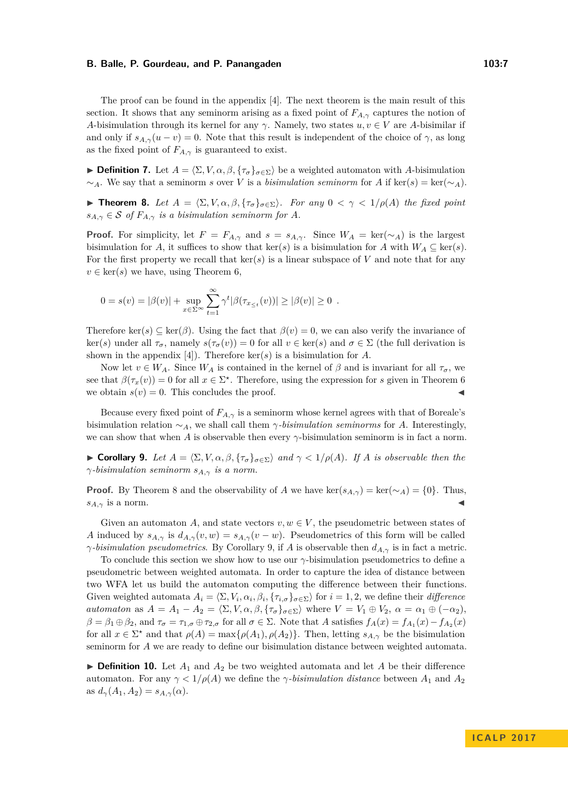The proof can be found in the appendix [\[4\]](#page-12-6). The next theorem is the main result of this section. It shows that any seminorm arising as a fixed point of  $F_{A,\gamma}$  captures the notion of *A*-bisimulation through its kernel for any *γ*. Namely, two states  $u, v \in V$  are *A*-bisimilar if and only if  $s_{A,\gamma}(u - v) = 0$ . Note that this result is independent of the choice of  $\gamma$ , as long as the fixed point of  $F_{A,\gamma}$  is guaranteed to exist.

**► Definition 7.** Let  $A = \langle \Sigma, V, \alpha, \beta, \{\tau_{\sigma}\}_{\sigma \in \Sigma} \rangle$  be a weighted automaton with *A*-bisimulation  $\sim_A$ . We say that a seminorm *s* over *V* is a *bisimulation seminorm* for *A* if ker(*s*) = ker( $\sim_A$ ).

<span id="page-6-0"></span>**► Theorem 8.** Let  $A = \langle \Sigma, V, \alpha, \beta, \{\tau_{\sigma}\}_{\sigma \in \Sigma} \rangle$ . For any  $0 < \gamma < 1/\rho(A)$  the fixed point  $s_{A,\gamma} \in \mathcal{S}$  *of*  $F_{A,\gamma}$  *is a bisimulation seminorm for A.* 

**Proof.** For simplicity, let  $F = F_{A,\gamma}$  and  $s = s_{A,\gamma}$ . Since  $W_A = \text{ker}(\sim_A)$  is the largest bisimulation for *A*, it suffices to show that ker(*s*) is a bisimulation for *A* with  $W_A \subseteq \text{ker}(s)$ . For the first property we recall that  $\ker(s)$  is a linear subspace of *V* and note that for any  $v \in \text{ker}(s)$  we have, using Theorem [6,](#page-5-2)

$$
0 = s(v) = |\beta(v)| + \sup_{x \in \Sigma^{\infty}} \sum_{t=1}^{\infty} \gamma^{t} |\beta(\tau_{x_{\leq t}}(v))| \geq |\beta(v)| \geq 0.
$$

Therefore ker(*s*)  $\subset$  ker(*β*). Using the fact that  $\beta(v) = 0$ , we can also verify the invariance of ker(*s*) under all *τσ*, namely *s*(*τσ*(*v*)) = 0 for all *v* ∈ ker(*s*) and *σ* ∈ Σ (the full derivation is shown in the appendix [\[4\]](#page-12-6)). Therefore ker(*s*) is a bisimulation for *A*.

Now let  $v \in W_A$ . Since  $W_A$  is contained in the kernel of  $\beta$  and is invariant for all  $\tau_{\sigma}$ , we see that  $\beta(\tau_x(v)) = 0$  for all  $x \in \Sigma^*$ . Therefore, using the expression for *s* given in Theorem [6](#page-5-2) we obtain  $s(v) = 0$ . This concludes the proof.

Because every fixed point of  $F_{A,\gamma}$  is a seminorm whose kernel agrees with that of Boreale's bisimulation relation  $\sim_A$ , we shall call them *γ-bisimulation seminorms* for *A*. Interestingly, we can show that when *A* is observable then every  $\gamma$ -bisimulation seminorm is in fact a norm.

<span id="page-6-1"></span> $\triangleright$  **Corollary 9.** Let  $A = \langle \Sigma, V, \alpha, \beta, \{\tau_{\sigma}\}_{\sigma \in \Sigma} \rangle$  and  $\gamma < 1/\rho(A)$ *. If A* is observable then the *γ-bisimulation seminorm sA,γ is a norm.*

**Proof.** By Theorem [8](#page-6-0) and the observability of *A* we have ker( $s_{A,\gamma}$ ) = ker( $\sim_A$ ) = {0}. Thus,  $s_{A,\gamma}$  is a norm.

Given an automaton *A*, and state vectors  $v, w \in V$ , the pseudometric between states of *A* induced by  $s_{A,\gamma}$  is  $d_{A,\gamma}(v,w) = s_{A,\gamma}(v-w)$ . Pseudometrics of this form will be called *γ-bisimulation pseudometrics*. By Corollary [9,](#page-6-1) if *A* is observable then *dA,γ* is in fact a metric.

To conclude this section we show how to use our *γ*-bisimulation pseudometrics to define a pseudometric between weighted automata. In order to capture the idea of distance between two WFA let us build the automaton computing the difference between their functions. Given weighted automata  $A_i = \langle \Sigma, V_i, \alpha_i, \beta_i, \{\tau_{i,\sigma}\}_{\sigma \in \Sigma} \rangle$  for  $i = 1, 2$ , we define their *difference automaton* as  $A = A_1 - A_2 = \langle \Sigma, V, \alpha, \beta, \{\tau_\sigma\}_{\sigma \in \Sigma} \rangle$  where  $V = V_1 \oplus V_2$ ,  $\alpha = \alpha_1 \oplus (-\alpha_2)$ ,  $\beta = \beta_1 \oplus \beta_2$ , and  $\tau_{\sigma} = \tau_{1,\sigma} \oplus \tau_{2,\sigma}$  for all  $\sigma \in \Sigma$ . Note that A satisfies  $f_A(x) = f_{A_1}(x) - f_{A_2}(x)$ for all  $x \in \Sigma^*$  and that  $\rho(A) = \max\{\rho(A_1), \rho(A_2)\}\$ . Then, letting  $s_{A,\gamma}$  be the bisimulation seminorm for *A* we are ready to define our bisimulation distance between weighted automata.

<span id="page-6-2"></span> $\triangleright$  **Definition 10.** Let  $A_1$  and  $A_2$  be two weighted automata and let A be their difference automaton. For any  $\gamma < 1/\rho(A)$  we define the *γ-bisimulation distance* between  $A_1$  and  $A_2$ as  $d_{\gamma}(A_1, A_2) = s_{A,\gamma}(\alpha)$ .

**I C A L P 2 0 1 7**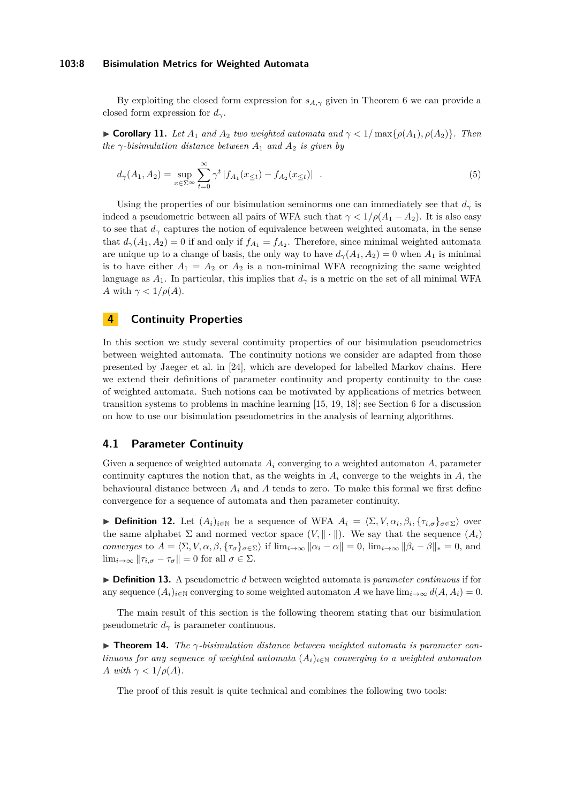#### **103:8 Bisimulation Metrics for Weighted Automata**

By exploiting the closed form expression for  $s_{A,\gamma}$  given in Theorem [6](#page-5-2) we can provide a closed form expression for *dγ*.

 $\blacktriangleright$  **Corollary 11.** *Let A*<sub>1</sub> *and A*<sub>2</sub> *two weighted automata and*  $\gamma$  < 1/max{ $\rho$ (*A*<sub>1</sub>),  $\rho$ (*A*<sub>2</sub>)}*. Then the*  $\gamma$ -bisimulation distance between  $A_1$  and  $A_2$  is given by

$$
d_{\gamma}(A_1, A_2) = \sup_{x \in \Sigma^{\infty}} \sum_{t=0}^{\infty} \gamma^t |f_{A_1}(x_{\leq t}) - f_{A_2}(x_{\leq t})| \quad . \tag{5}
$$

Using the properties of our bisimulation seminorms one can immediately see that  $d<sub>\gamma</sub>$  is indeed a pseudometric between all pairs of WFA such that  $\gamma < 1/\rho(A_1 - A_2)$ . It is also easy to see that  $d_{\gamma}$  captures the notion of equivalence between weighted automata, in the sense that  $d_{\gamma}(A_1, A_2) = 0$  if and only if  $f_{A_1} = f_{A_2}$ . Therefore, since minimal weighted automata are unique up to a change of basis, the only way to have  $d_{\gamma}(A_1, A_2) = 0$  when  $A_1$  is minimal is to have either  $A_1 = A_2$  or  $A_2$  is a non-minimal WFA recognizing the same weighted language as  $A_1$ . In particular, this implies that  $d<sub>\gamma</sub>$  is a metric on the set of all minimal WFA *A* with  $\gamma < 1/\rho(A)$ .

## <span id="page-7-0"></span>**4 Continuity Properties**

In this section we study several continuity properties of our bisimulation pseudometrics between weighted automata. The continuity notions we consider are adapted from those presented by Jaeger et al. in [\[24\]](#page-13-5), which are developed for labelled Markov chains. Here we extend their definitions of parameter continuity and property continuity to the case of weighted automata. Such notions can be motivated by applications of metrics between transition systems to problems in machine learning [\[15,](#page-12-4) [19,](#page-13-12) [18\]](#page-13-13); see Section [6](#page-10-0) for a discussion on how to use our bisimulation pseudometrics in the analysis of learning algorithms.

## **4.1 Parameter Continuity**

Given a sequence of weighted automata *A<sup>i</sup>* converging to a weighted automaton *A*, parameter continuity captures the notion that, as the weights in  $A_i$  converge to the weights in  $A_i$ , the behavioural distance between  $A_i$  and  $A$  tends to zero. To make this formal we first define convergence for a sequence of automata and then parameter continuity.

**Definition 12.** Let  $(A_i)_{i\in\mathbb{N}}$  be a sequence of WFA  $A_i = \langle \Sigma, V, \alpha_i, \beta_i, \{\tau_{i,\sigma}\}_{\sigma \in \Sigma} \rangle$  over the same alphabet  $\Sigma$  and normed vector space  $(V, \|\cdot\|)$ . We say that the sequence  $(A_i)$ *converges* to  $A = \langle \Sigma, V, \alpha, \beta, \{\tau_{\sigma}\}_{\sigma \in \Sigma} \rangle$  if  $\lim_{i \to \infty} ||\alpha_i - \alpha|| = 0$ ,  $\lim_{i \to \infty} ||\beta_i - \beta||_* = 0$ , and  $\lim_{i\to\infty}$   $\|\tau_{i,\sigma}-\tau_{\sigma}\|=0$  for all  $\sigma\in\Sigma$ .

▶ **Definition 13.** A pseudometric *d* between weighted automata is *parameter continuous* if for any sequence  $(A_i)_{i\in\mathbb{N}}$  converging to some weighted automaton *A* we have  $\lim_{i\to\infty} d(A, A_i) = 0$ .

The main result of this section is the following theorem stating that our bisimulation pseudometric  $d_{\gamma}$  is parameter continuous.

<span id="page-7-1"></span>**► Theorem 14.** The  $\gamma$ -bisimulation distance between weighted automata is parameter con*tinuous for any sequence of weighted automata*  $(A_i)_{i \in \mathbb{N}}$  *converging to a weighted automaton A with*  $\gamma < 1/\rho(A)$ *.* 

The proof of this result is quite technical and combines the following two tools: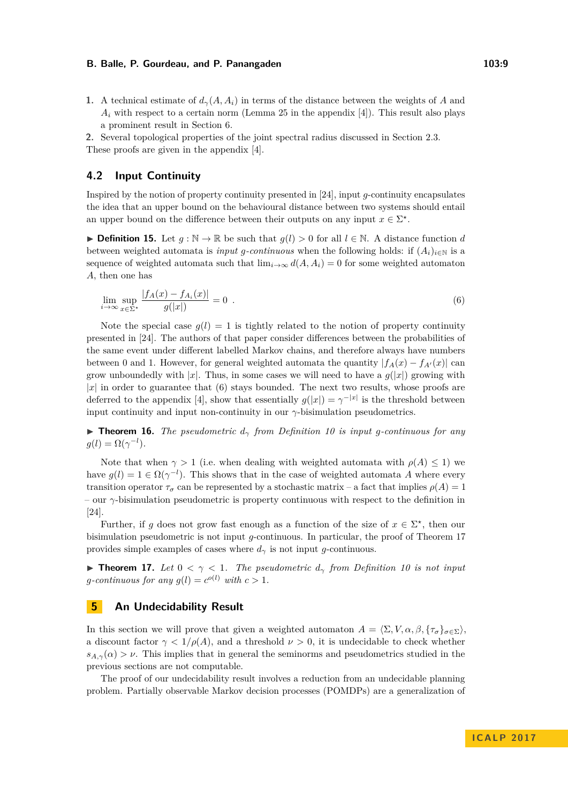**1.** A technical estimate of  $d_{\gamma}(A, A_i)$  in terms of the distance between the weights of *A* and  $A_i$  with respect to a certain norm (Lemma 25 in the appendix [\[4\]](#page-12-6)). This result also plays a prominent result in Section [6.](#page-10-0)

**2.** Several topological properties of the joint spectral radius discussed in Section [2.3.](#page-3-1) These proofs are given in the appendix [\[4\]](#page-12-6).

## **4.2 Input Continuity**

Inspired by the notion of property continuity presented in [\[24\]](#page-13-5), input *g*-continuity encapsulates the idea that an upper bound on the behavioural distance between two systems should entail an upper bound on the difference between their outputs on any input  $x \in \Sigma^*$ .

▶ **Definition 15.** Let  $g : \mathbb{N} \to \mathbb{R}$  be such that  $g(l) > 0$  for all  $l \in \mathbb{N}$ . A distance function *d* between weighted automata is *input g*-continuous when the following holds: if  $(A_i)_{i \in \mathbb{N}}$  is a sequence of weighted automata such that  $\lim_{i\to\infty} d(A, A_i) = 0$  for some weighted automaton *A*, then one has

<span id="page-8-1"></span>
$$
\lim_{i \to \infty} \sup_{x \in \Sigma^*} \frac{|f_A(x) - f_{A_i}(x)|}{g(|x|)} = 0 \tag{6}
$$

Note the special case  $g(l) = 1$  is tightly related to the notion of property continuity presented in [\[24\]](#page-13-5). The authors of that paper consider differences between the probabilities of the same event under different labelled Markov chains, and therefore always have numbers between 0 and 1. However, for general weighted automata the quantity  $|f_A(x) - f_{A'}(x)|$  can grow unboundedly with |*x*|. Thus, in some cases we will need to have a  $g(|x|)$  growing with  $|x|$  in order to guarantee that [\(6\)](#page-8-1) stays bounded. The next two results, whose proofs are deferred to the appendix [\[4\]](#page-12-6), show that essentially  $g(|x|) = \gamma^{-|x|}$  is the threshold between input continuity and input non-continuity in our  $\gamma$ -bisimulation pseudometrics.

**If Theorem 16.** The pseudometric  $d<sub>\gamma</sub>$  from Definition [10](#page-6-2) is input g-continuous for any  $g(l) = \Omega(\gamma^{-l}).$ 

Note that when  $\gamma > 1$  (i.e. when dealing with weighted automata with  $\rho(A) \leq 1$ ) we have  $g(l) = 1 \in \Omega(\gamma^{-l})$ . This shows that in the case of weighted automata *A* where every transition operator  $\tau_{\sigma}$  can be represented by a stochastic matrix – a fact that implies  $\rho(A) = 1$ – our *γ*-bisimulation pseudometric is property continuous with respect to the definition in [\[24\]](#page-13-5).

Further, if *g* does not grow fast enough as a function of the size of  $x \in \Sigma^*$ , then our bisimulation pseudometric is not input *g*-continuous. In particular, the proof of Theorem [17](#page-8-2) provides simple examples of cases where  $d<sub>\gamma</sub>$  is not input *g*-continuous.

<span id="page-8-2"></span>**Theorem 17.** Let  $0 < \gamma < 1$ . The pseudometric  $d_{\gamma}$  from Definition [10](#page-6-2) is not input *g*-continuous for any  $g(l) = c^{o(l)}$  with  $c > 1$ .

## <span id="page-8-0"></span>**5** An Undecidability Result

In this section we will prove that given a weighted automaton  $A = \langle \Sigma, V, \alpha, \beta, \{\tau_{\sigma}\}_{\sigma \in \Sigma} \rangle$ , a discount factor  $\gamma < 1/\rho(A)$ , and a threshold  $\nu > 0$ , it is undecidable to check whether  $s_{A,\gamma}(\alpha) > \nu$ . This implies that in general the seminorms and pseudometrics studied in the previous sections are not computable.

The proof of our undecidability result involves a reduction from an undecidable planning problem. Partially observable Markov decision processes (POMDPs) are a generalization of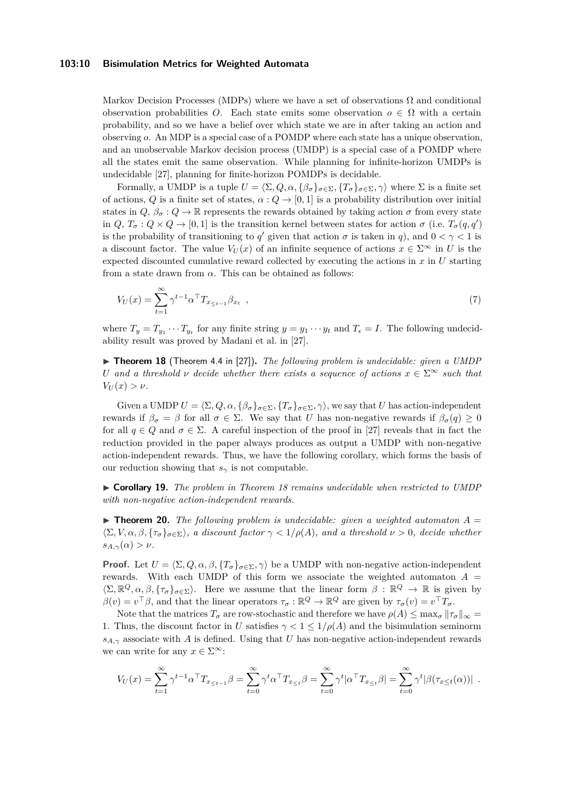#### **103:10 Bisimulation Metrics for Weighted Automata**

Markov Decision Processes (MDPs) where we have a set of observations  $\Omega$  and conditional observation probabilities *O*. Each state emits some observation  $o \in \Omega$  with a certain probability, and so we have a belief over which state we are in after taking an action and observing *o*. An MDP is a special case of a POMDP where each state has a unique observation, and an unobservable Markov decision process (UMDP) is a special case of a POMDP where all the states emit the same observation. While planning for infinite-horizon UMDPs is undecidable [\[27\]](#page-13-14), planning for finite-horizon POMDPs is decidable.

Formally, a UMDP is a tuple  $U = \langle \Sigma, Q, \alpha, \{\beta_{\sigma}\}_{\sigma \in \Sigma}, \{T_{\sigma}\}_{\sigma \in \Sigma}, \gamma \rangle$  where  $\Sigma$  is a finite set of actions, *Q* is a finite set of states,  $\alpha$  :  $Q \rightarrow [0,1]$  is a probability distribution over initial states in  $Q, \beta_{\sigma}: Q \to \mathbb{R}$  represents the rewards obtained by taking action  $\sigma$  from every state in  $Q, T_{\sigma}: Q \times Q \to [0, 1]$  is the transition kernel between states for action  $\sigma$  (i.e.  $T_{\sigma}(q, q)$ ) is the probability of transitioning to *q'* given that action  $\sigma$  is taken in *q*), and  $0 < \gamma < 1$  is a discount factor. The value  $V_U(x)$  of an infinite sequence of actions  $x \in \Sigma^\infty$  in U is the expected discounted cumulative reward collected by executing the actions in *x* in *U* starting from a state drawn from  $\alpha$ . This can be obtained as follows:

$$
V_U(x) = \sum_{t=1}^{\infty} \gamma^{t-1} \alpha^{\top} T_{x_{\leq t-1}} \beta_{x_t} \quad , \tag{7}
$$

where  $T_y = T_{y_1} \cdots T_{y_t}$  for any finite string  $y = y_1 \cdots y_t$  and  $T_{\epsilon} = I$ . The following undecidability result was proved by Madani et al. in [\[27\]](#page-13-14).

<span id="page-9-0"></span>▶ **Theorem 18** (Theorem 4.4 in [\[27\]](#page-13-14)). *The following problem is undecidable: given a UMDP U* and a threshold *v* decide whether there exists a sequence of actions  $x \in \Sigma^\infty$  such that  $V_U(x) > \nu$ .

Given a UMDP  $U = \langle \Sigma, Q, \alpha, \{\beta_{\sigma}\}_{\sigma \in \Sigma}, \{T_{\sigma}\}_{\sigma \in \Sigma}, \gamma \rangle$ , we say that *U* has action-independent rewards if *β<sup>σ</sup>* = *β* for all *σ* ∈ Σ. We say that *U* has non-negative rewards if *βσ*(*q*) ≥ 0 for all  $q \in Q$  and  $\sigma \in \Sigma$ . A careful inspection of the proof in [\[27\]](#page-13-14) reveals that in fact the reduction provided in the paper always produces as output a UMDP with non-negative action-independent rewards. Thus, we have the following corollary, which forms the basis of our reduction showing that  $s<sub>γ</sub>$  is not computable.

I **Corollary 19.** *The problem in Theorem [18](#page-9-0) remains undecidable when restricted to UMDP with non-negative action-independent rewards.*

 $\triangleright$  **Theorem 20.** The following problem is undecidable: given a weighted automaton  $A =$  $\langle \Sigma, V, \alpha, \beta, \{\tau_{\sigma}\}_{\sigma \in \Sigma} \rangle$ , a discount factor  $\gamma < 1/\rho(A)$ , and a threshold  $\nu > 0$ , decide whether  $s_{A,\gamma}(\alpha) > \nu$ .

**Proof.** Let  $U = \langle \Sigma, Q, \alpha, \beta, \{T_{\sigma}\}_{{\sigma \in \Sigma}}, \gamma \rangle$  be a UMDP with non-negative action-independent rewards. With each UMDP of this form we associate the weighted automaton  $A =$  $\langle \Sigma, \mathbb{R}^Q, \alpha, \beta, \{\tau_\sigma\}_{\sigma \in \Sigma} \rangle$ . Here we assume that the linear form  $\beta : \mathbb{R}^Q \to \mathbb{R}$  is given by  $\beta(v) = v^{\top}\beta$ , and that the linear operators  $\tau_{\sigma}: \mathbb{R}^Q \to \mathbb{R}^Q$  are given by  $\tau_{\sigma}(v) = v^{\top}T_{\sigma}$ .

Note that the matrices  $T_{\sigma}$  are row-stochastic and therefore we have  $\rho(A) \leq \max_{\sigma} ||\tau_{\sigma}||_{\infty} =$ 1. Thus, the discount factor in *U* satisfies  $\gamma < 1 \leq 1/\rho(A)$  and the bisimulation seminorm  $s_{A,\gamma}$  associate with *A* is defined. Using that *U* has non-negative action-independent rewards we can write for any  $x \in \Sigma^{\infty}$ :

$$
V_U(x) = \sum_{t=1}^{\infty} \gamma^{t-1} \alpha^\top T_{x_{\leq t-1}} \beta = \sum_{t=0}^{\infty} \gamma^t \alpha^\top T_{x_{\leq t}} \beta = \sum_{t=0}^{\infty} \gamma^t |\alpha^\top T_{x_{\leq t}} \beta| = \sum_{t=0}^{\infty} \gamma^t |\beta(\tau_{x \leq t}(\alpha))|.
$$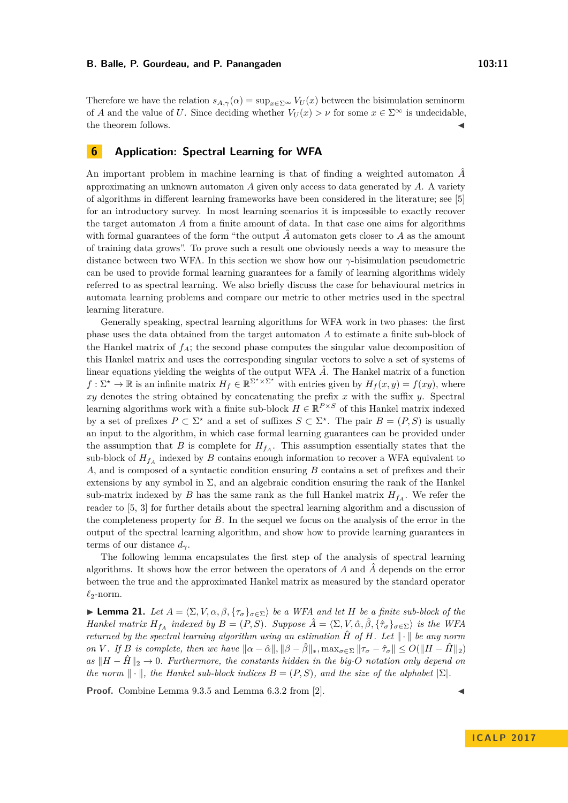Therefore we have the relation  $s_{A,\gamma}(\alpha) = \sup_{x \in \Sigma^\infty} V_U(x)$  between the bisimulation seminorm of *A* and the value of *U*. Since deciding whether  $V_U(x) > \nu$  for some  $x \in \Sigma^\infty$  is undecidable, the theorem follows.

## <span id="page-10-0"></span>**6 Application: Spectral Learning for WFA**

An important problem in machine learning is that of finding a weighted automaton  $\hat{A}$ approximating an unknown automaton *A* given only access to data generated by *A*. A variety of algorithms in different learning frameworks have been considered in the literature; see [\[5\]](#page-12-11) for an introductory survey. In most learning scenarios it is impossible to exactly recover the target automaton *A* from a finite amount of data. In that case one aims for algorithms with formal guarantees of the form "the output  $\hat{A}$  automaton gets closer to  $A$  as the amount of training data grows". To prove such a result one obviously needs a way to measure the distance between two WFA. In this section we show how our *γ*-bisimulation pseudometric can be used to provide formal learning guarantees for a family of learning algorithms widely referred to as spectral learning. We also briefly discuss the case for behavioural metrics in automata learning problems and compare our metric to other metrics used in the spectral learning literature.

Generally speaking, spectral learning algorithms for WFA work in two phases: the first phase uses the data obtained from the target automaton *A* to estimate a finite sub-block of the Hankel matrix of  $f_A$ ; the second phase computes the singular value decomposition of this Hankel matrix and uses the corresponding singular vectors to solve a set of systems of linear equations yielding the weights of the output WFA  $\hat{A}$ . The Hankel matrix of a function  $f: \Sigma^* \to \mathbb{R}$  is an infinite matrix  $H_f \in \mathbb{R}^{\Sigma^* \times \Sigma^*}$  with entries given by  $H_f(x, y) = f(xy)$ , where *xy* denotes the string obtained by concatenating the prefix *x* with the suffix *y*. Spectral learning algorithms work with a finite sub-block  $H \in \mathbb{R}^{P \times S}$  of this Hankel matrix indexed by a set of prefixes  $P \subset \Sigma^*$  and a set of suffixes  $S \subset \Sigma^*$ . The pair  $B = (P, S)$  is usually an input to the algorithm, in which case formal learning guarantees can be provided under the assumption that *B* is complete for  $H_{f_A}$ . This assumption essentially states that the sub-block of  $H_{f_A}$  indexed by *B* contains enough information to recover a WFA equivalent to *A*, and is composed of a syntactic condition ensuring *B* contains a set of prefixes and their extensions by any symbol in  $\Sigma$ , and an algebraic condition ensuring the rank of the Hankel sub-matrix indexed by *B* has the same rank as the full Hankel matrix  $H_{f_A}$ . We refer the reader to [\[5,](#page-12-11) [3\]](#page-12-12) for further details about the spectral learning algorithm and a discussion of the completeness property for *B*. In the sequel we focus on the analysis of the error in the output of the spectral learning algorithm, and show how to provide learning guarantees in terms of our distance *dγ*.

The following lemma encapsulates the first step of the analysis of spectral learning algorithms. It shows how the error between the operators of *A* and *A*ˆ depends on the error between the true and the approximated Hankel matrix as measured by the standard operator  $\ell_2$ -norm.

<span id="page-10-1"></span>**► Lemma 21.** *Let*  $A = \langle \Sigma, V, \alpha, \beta, \{\tau_{\sigma}\}_{\sigma \in \Sigma} \rangle$  *be a WFA and let H be a finite sub-block of the Hankel matrix*  $H_{f_A}$  *indexed by*  $B = (P, S)$ *. Suppose*  $\hat{A} = \langle \Sigma, V, \hat{\alpha}, \hat{\beta}, \{\hat{\tau}_{\sigma}\}_{\sigma \in \Sigma} \rangle$  *is the WFA returned by the spectral learning algorithm using an estimation*  $\hat{H}$  *of*  $H$ *. Let*  $\|\cdot\|$  *be any norm* on V. If B is complete, then we have  $\|\alpha - \hat{\alpha}\|, \|\beta - \hat{\beta}\|_*, \max_{\sigma \in \Sigma} \|\tau_{\sigma} - \hat{\tau}_{\sigma}\| \le O(\|H - \hat{H}\|_2)$ *as*  $||H - \hat{H}||_2$  → 0*.* Furthermore, the constants hidden in the big- $O$  notation only depend on *the norm*  $\|\cdot\|$ *, the Hankel sub-block indices*  $B = (P, S)$ *, and the size of the alphabet*  $|\Sigma|$ *.* 

**Proof.** Combine Lemma 9.3.5 and Lemma 6.3.2 from [\[2\]](#page-12-13).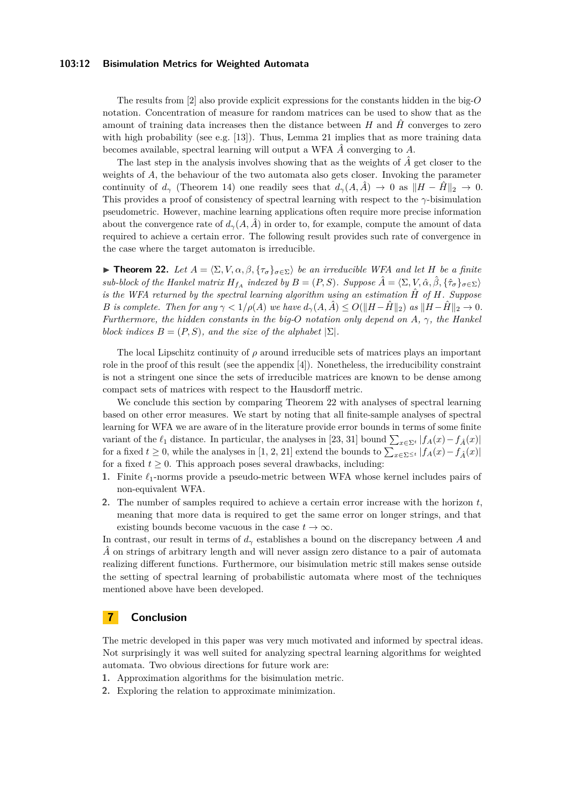#### **103:12 Bisimulation Metrics for Weighted Automata**

The results from [\[2\]](#page-12-13) also provide explicit expressions for the constants hidden in the big-*O* notation. Concentration of measure for random matrices can be used to show that as the amount of training data increases then the distance between  $H$  and  $\hat{H}$  converges to zero with high probability (see e.g.  $[13]$ ). Thus, Lemma [21](#page-10-1) implies that as more training data becomes available, spectral learning will output a WFA *A*ˆ converging to *A*.

The last step in the analysis involves showing that as the weights of *A*ˆ get closer to the weights of A, the behaviour of the two automata also gets closer. Invoking the parameter continuity of  $d_\gamma$  (Theorem [14\)](#page-7-1) one readily sees that  $d_\gamma(A, \hat{A}) \to 0$  as  $||H - \hat{H}||_2 \to 0$ . This provides a proof of consistency of spectral learning with respect to the *γ*-bisimulation pseudometric. However, machine learning applications often require more precise information about the convergence rate of  $d_{\gamma}(A, \hat{A})$  in order to, for example, compute the amount of data required to achieve a certain error. The following result provides such rate of convergence in the case where the target automaton is irreducible.

<span id="page-11-0"></span>**► Theorem 22.** Let  $A = \langle \Sigma, V, \alpha, \beta, \{ \tau_{\sigma} \}_{\sigma \in \Sigma} \rangle$  be an irreducible WFA and let *H* be a finite *sub-block of the Hankel matrix*  $H_{f_A}$  *indexed by*  $B = (P, S)$ *. Suppose*  $\hat{A} = \langle \Sigma, V, \hat{\alpha}, \hat{\beta}, \{\hat{\tau}_{\sigma}\}_{\sigma \in \Sigma} \rangle$ *is the WFA returned by the spectral learning algorithm using an estimation*  $\hat{H}$  *of*  $H$ *. Suppose B is complete. Then for any*  $\gamma < 1/\rho(A)$  *we have*  $d_{\gamma}(A, \hat{A}) \leq O(||H - \hat{H}||_2)$  *as*  $||H - \hat{H}||_2 \to 0$ *. Furthermore, the hidden constants in the big-O notation only depend on A, γ, the Hankel block indices*  $B = (P, S)$ *, and the size of the alphabet*  $|\Sigma|$ *.* 

The local Lipschitz continuity of *ρ* around irreducible sets of matrices plays an important role in the proof of this result (see the appendix [\[4\]](#page-12-6)). Nonetheless, the irreducibility constraint is not a stringent one since the sets of irreducible matrices are known to be dense among compact sets of matrices with respect to the Hausdorff metric.

We conclude this section by comparing Theorem [22](#page-11-0) with analyses of spectral learning based on other error measures. We start by noting that all finite-sample analyses of spectral learning for WFA we are aware of in the literature provide error bounds in terms of some finite variant of the  $\ell_1$  distance. In particular, the analyses in [\[23,](#page-13-15) [31\]](#page-13-16) bound  $\sum_{x \in \Sigma^t} |f_A(x) - f_{\hat{A}}(x)|$ for a fixed  $t \geq 0$ , while the analyses in [\[1,](#page-12-15) [2,](#page-12-13) [21\]](#page-13-17) extend the bounds to  $\sum_{x \in \Sigma^{\leq t}} |f_A(x) - f_{\hat{A}}(x)|$ for a fixed  $t \geq 0$ . This approach poses several drawbacks, including:

- **1.** Finite  $\ell_1$ -norms provide a pseudo-metric between WFA whose kernel includes pairs of non-equivalent WFA.
- **2.** The number of samples required to achieve a certain error increase with the horizon *t*, meaning that more data is required to get the same error on longer strings, and that existing bounds become vacuous in the case  $t \to \infty$ .

In contrast, our result in terms of *d<sup>γ</sup>* establishes a bound on the discrepancy between *A* and  $\hat{A}$  on strings of arbitrary length and will never assign zero distance to a pair of automata realizing different functions. Furthermore, our bisimulation metric still makes sense outside the setting of spectral learning of probabilistic automata where most of the techniques mentioned above have been developed.

## **7 Conclusion**

The metric developed in this paper was very much motivated and informed by spectral ideas. Not surprisingly it was well suited for analyzing spectral learning algorithms for weighted automata. Two obvious directions for future work are:

- **1.** Approximation algorithms for the bisimulation metric.
- **2.** Exploring the relation to approximate minimization.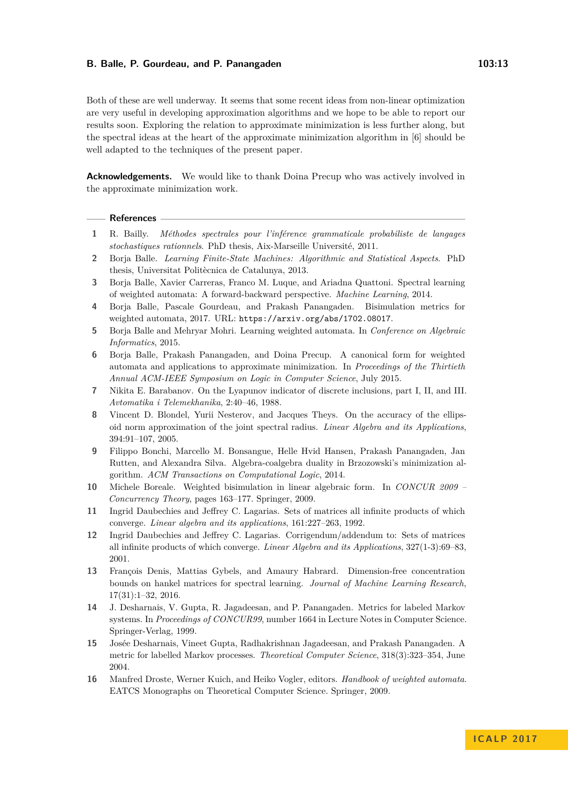Both of these are well underway. It seems that some recent ideas from non-linear optimization are very useful in developing approximation algorithms and we hope to be able to report our results soon. Exploring the relation to approximate minimization is less further along, but the spectral ideas at the heart of the approximate minimization algorithm in [\[6\]](#page-12-2) should be well adapted to the techniques of the present paper.

**Acknowledgements.** We would like to thank Doina Precup who was actively involved in the approximate minimization work.

#### **References**

- <span id="page-12-15"></span>**1** R. Bailly. *Méthodes spectrales pour l'inférence grammaticale probabiliste de langages stochastiques rationnels*. PhD thesis, Aix-Marseille Université, 2011.
- <span id="page-12-13"></span>**2** Borja Balle. *Learning Finite-State Machines: Algorithmic and Statistical Aspects*. PhD thesis, Universitat Politècnica de Catalunya, 2013.
- <span id="page-12-12"></span>**3** Borja Balle, Xavier Carreras, Franco M. Luque, and Ariadna Quattoni. Spectral learning of weighted automata: A forward-backward perspective. *Machine Learning*, 2014.
- <span id="page-12-6"></span>**4** Borja Balle, Pascale Gourdeau, and Prakash Panangaden. Bisimulation metrics for weighted automata, 2017. URL: <https://arxiv.org/abs/1702.08017>.
- <span id="page-12-11"></span>**5** Borja Balle and Mehryar Mohri. Learning weighted automata. In *Conference on Algebraic Informatics*, 2015.
- <span id="page-12-2"></span>**6** Borja Balle, Prakash Panangaden, and Doina Precup. A canonical form for weighted automata and applications to approximate minimization. In *Proceedings of the Thirtieth Annual ACM-IEEE Symposium on Logic in Computer Science*, July 2015.
- <span id="page-12-10"></span>**7** Nikita E. Barabanov. On the Lyapunov indicator of discrete inclusions, part I, II, and III. *Avtomatika i Telemekhanika*, 2:40–46, 1988.
- <span id="page-12-9"></span>**8** Vincent D. Blondel, Yurii Nesterov, and Jacques Theys. On the accuracy of the ellipsoid norm approximation of the joint spectral radius. *Linear Algebra and its Applications*, 394:91–107, 2005.
- <span id="page-12-1"></span>**9** Filippo Bonchi, Marcello M. Bonsangue, Helle Hvid Hansen, Prakash Panangaden, Jan Rutten, and Alexandra Silva. Algebra-coalgebra duality in Brzozowski's minimization algorithm. *ACM Transactions on Computational Logic*, 2014.
- <span id="page-12-5"></span>**10** Michele Boreale. Weighted bisimulation in linear algebraic form. In *CONCUR 2009 – Concurrency Theory*, pages 163–177. Springer, 2009.
- <span id="page-12-7"></span>**11** Ingrid Daubechies and Jeffrey C. Lagarias. Sets of matrices all infinite products of which converge. *Linear algebra and its applications*, 161:227–263, 1992.
- <span id="page-12-8"></span>**12** Ingrid Daubechies and Jeffrey C. Lagarias. Corrigendum/addendum to: Sets of matrices all infinite products of which converge. *Linear Algebra and its Applications*, 327(1-3):69–83, 2001.
- <span id="page-12-14"></span>**13** François Denis, Mattias Gybels, and Amaury Habrard. Dimension-free concentration bounds on hankel matrices for spectral learning. *Journal of Machine Learning Research*, 17(31):1–32, 2016.
- <span id="page-12-3"></span>**14** J. Desharnais, V. Gupta, R. Jagadeesan, and P. Panangaden. Metrics for labeled Markov systems. In *Proceedings of CONCUR99*, number 1664 in Lecture Notes in Computer Science. Springer-Verlag, 1999.
- <span id="page-12-4"></span>**15** Josée Desharnais, Vineet Gupta, Radhakrishnan Jagadeesan, and Prakash Panangaden. A metric for labelled Markov processes. *Theoretical Computer Science*, 318(3):323–354, June 2004.
- <span id="page-12-0"></span>**16** Manfred Droste, Werner Kuich, and Heiko Vogler, editors. *Handbook of weighted automata*. EATCS Monographs on Theoretical Computer Science. Springer, 2009.